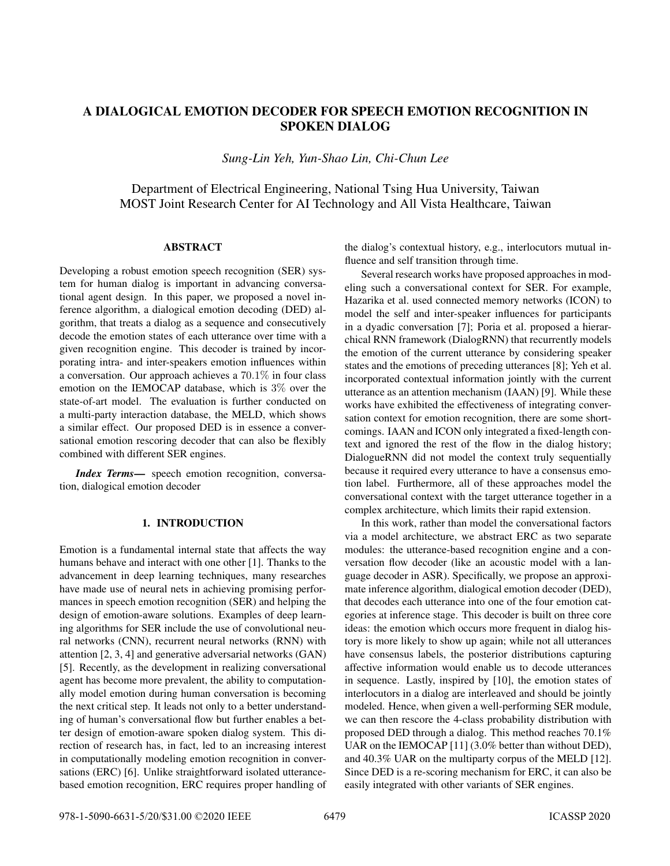# A DIALOGICAL EMOTION DECODER FOR SPEECH EMOTION RECOGNITION IN SPOKEN DIALOG

*Sung-Lin Yeh, Yun-Shao Lin, Chi-Chun Lee*

Department of Electrical Engineering, National Tsing Hua University, Taiwan MOST Joint Research Center for AI Technology and All Vista Healthcare, Taiwan

# ABSTRACT

Developing a robust emotion speech recognition (SER) system for human dialog is important in advancing conversational agent design. In this paper, we proposed a novel inference algorithm, a dialogical emotion decoding (DED) algorithm, that treats a dialog as a sequence and consecutively decode the emotion states of each utterance over time with a given recognition engine. This decoder is trained by incorporating intra- and inter-speakers emotion influences within a conversation. Our approach achieves a 70.1% in four class emotion on the IEMOCAP database, which is 3% over the state-of-art model. The evaluation is further conducted on a multi-party interaction database, the MELD, which shows a similar effect. Our proposed DED is in essence a conversational emotion rescoring decoder that can also be flexibly combined with different SER engines.

*Index Terms*— speech emotion recognition, conversation, dialogical emotion decoder

# 1. INTRODUCTION

Emotion is a fundamental internal state that affects the way humans behave and interact with one other [1]. Thanks to the advancement in deep learning techniques, many researches have made use of neural nets in achieving promising performances in speech emotion recognition (SER) and helping the design of emotion-aware solutions. Examples of deep learning algorithms for SER include the use of convolutional neural networks (CNN), recurrent neural networks (RNN) with attention [2, 3, 4] and generative adversarial networks (GAN) [5]. Recently, as the development in realizing conversational agent has become more prevalent, the ability to computationally model emotion during human conversation is becoming the next critical step. It leads not only to a better understanding of human's conversational flow but further enables a better design of emotion-aware spoken dialog system. This direction of research has, in fact, led to an increasing interest in computationally modeling emotion recognition in conversations (ERC) [6]. Unlike straightforward isolated utterancebased emotion recognition, ERC requires proper handling of the dialog's contextual history, e.g., interlocutors mutual influence and self transition through time.

Several research works have proposed approaches in modeling such a conversational context for SER. For example, Hazarika et al. used connected memory networks (ICON) to model the self and inter-speaker influences for participants in a dyadic conversation [7]; Poria et al. proposed a hierarchical RNN framework (DialogRNN) that recurrently models the emotion of the current utterance by considering speaker states and the emotions of preceding utterances [8]; Yeh et al. incorporated contextual information jointly with the current utterance as an attention mechanism (IAAN) [9]. While these works have exhibited the effectiveness of integrating conversation context for emotion recognition, there are some shortcomings. IAAN and ICON only integrated a fixed-length context and ignored the rest of the flow in the dialog history; DialogueRNN did not model the context truly sequentially because it required every utterance to have a consensus emotion label. Furthermore, all of these approaches model the conversational context with the target utterance together in a complex architecture, which limits their rapid extension.

In this work, rather than model the conversational factors via a model architecture, we abstract ERC as two separate modules: the utterance-based recognition engine and a conversation flow decoder (like an acoustic model with a language decoder in ASR). Specifically, we propose an approximate inference algorithm, dialogical emotion decoder (DED), that decodes each utterance into one of the four emotion categories at inference stage. This decoder is built on three core ideas: the emotion which occurs more frequent in dialog history is more likely to show up again; while not all utterances have consensus labels, the posterior distributions capturing affective information would enable us to decode utterances in sequence. Lastly, inspired by [10], the emotion states of interlocutors in a dialog are interleaved and should be jointly modeled. Hence, when given a well-performing SER module, we can then rescore the 4-class probability distribution with proposed DED through a dialog. This method reaches 70.1% UAR on the IEMOCAP [11] (3.0% better than without DED), and 40.3% UAR on the multiparty corpus of the MELD [12]. Since DED is a re-scoring mechanism for ERC, it can also be easily integrated with other variants of SER engines.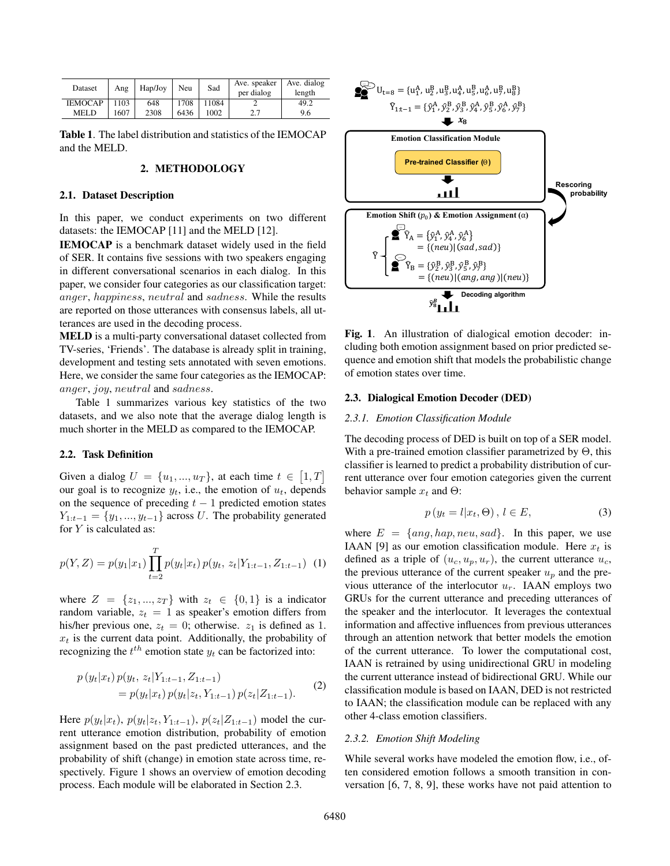| Dataset        | Ang  | Hap/Joy | Neu  | Sad   | Ave. speaker<br>per dialog | Ave. dialog<br>length |  |
|----------------|------|---------|------|-------|----------------------------|-----------------------|--|
| <b>IEMOCAP</b> | 1103 | 648     | 1708 | 11084 |                            | 49.2                  |  |
| <b>MELD</b>    | 1607 | 2308    | 6436 | 1002  | 2.7                        | 9.6                   |  |

Table 1. The label distribution and statistics of the IEMOCAP and the MELD.

# 2. METHODOLOGY

#### 2.1. Dataset Description

In this paper, we conduct experiments on two different datasets: the IEMOCAP [11] and the MELD [12].

IEMOCAP is a benchmark dataset widely used in the field of SER. It contains five sessions with two speakers engaging in different conversational scenarios in each dialog. In this paper, we consider four categories as our classification target: anger, happiness, neutral and sadness. While the results are reported on those utterances with consensus labels, all utterances are used in the decoding process.

MELD is a multi-party conversational dataset collected from TV-series, 'Friends'. The database is already split in training, development and testing sets annotated with seven emotions. Here, we consider the same four categories as the IEMOCAP: anger, joy, neutral and sadness.

Table 1 summarizes various key statistics of the two datasets, and we also note that the average dialog length is much shorter in the MELD as compared to the IEMOCAP.

# 2.2. Task Definition

Given a dialog  $U = \{u_1, ..., u_T\}$ , at each time  $t \in [1, T]$ our goal is to recognize  $y_t$ , i.e., the emotion of  $u_t$ , depends on the sequence of preceding  $t - 1$  predicted emotion states  $Y_{1:t-1} = \{y_1, ..., y_{t-1}\}\$ across U. The probability generated for Y is calculated as:

$$
p(Y, Z) = p(y_1|x_1) \prod_{t=2}^{T} p(y_t|x_t) p(y_t, z_t | Y_{1:t-1}, Z_{1:t-1})
$$
 (1)

where  $Z = \{z_1, ..., z_T\}$  with  $z_t \in \{0, 1\}$  is a indicator random variable,  $z_t = 1$  as speaker's emotion differs from his/her previous one,  $z_t = 0$ ; otherwise.  $z_1$  is defined as 1.  $x_t$  is the current data point. Additionally, the probability of recognizing the  $t^{th}$  emotion state  $y_t$  can be factorized into:

$$
p(y_t|x_t) p(y_t, z_t|Y_{1:t-1}, Z_{1:t-1})
$$
  
=  $p(y_t|x_t) p(y_t|z_t, Y_{1:t-1}) p(z_t|Z_{1:t-1}).$  (2)

Here  $p(y_t|x_t)$ ,  $p(y_t|z_t, Y_{1:t-1})$ ,  $p(z_t|Z_{1:t-1})$  model the current utterance emotion distribution, probability of emotion assignment based on the past predicted utterances, and the probability of shift (change) in emotion state across time, respectively. Figure 1 shows an overview of emotion decoding process. Each module will be elaborated in Section 2.3.



Fig. 1. An illustration of dialogical emotion decoder: including both emotion assignment based on prior predicted sequence and emotion shift that models the probabilistic change of emotion states over time.

# 2.3. Dialogical Emotion Decoder (DED)

#### *2.3.1. Emotion Classification Module*

The decoding process of DED is built on top of a SER model. With a pre-trained emotion classifier parametrized by  $\Theta$ , this classifier is learned to predict a probability distribution of current utterance over four emotion categories given the current behavior sample  $x_t$  and  $\Theta$ :

$$
p(y_t = l | x_t, \Theta), l \in E,
$$
\n(3)

where  $E = \{ang, hap, neu, sad\}$ . In this paper, we use IAAN [9] as our emotion classification module. Here  $x_t$  is defined as a triple of  $(u_c, u_p, u_r)$ , the current utterance  $u_c$ , the previous utterance of the current speaker  $u_p$  and the previous utterance of the interlocutor  $u_r$ . IAAN employs two GRUs for the current utterance and preceding utterances of the speaker and the interlocutor. It leverages the contextual information and affective influences from previous utterances through an attention network that better models the emotion of the current utterance. To lower the computational cost, IAAN is retrained by using unidirectional GRU in modeling the current utterance instead of bidirectional GRU. While our classification module is based on IAAN, DED is not restricted to IAAN; the classification module can be replaced with any other 4-class emotion classifiers.

#### *2.3.2. Emotion Shift Modeling*

While several works have modeled the emotion flow, i.e., often considered emotion follows a smooth transition in conversation [6, 7, 8, 9], these works have not paid attention to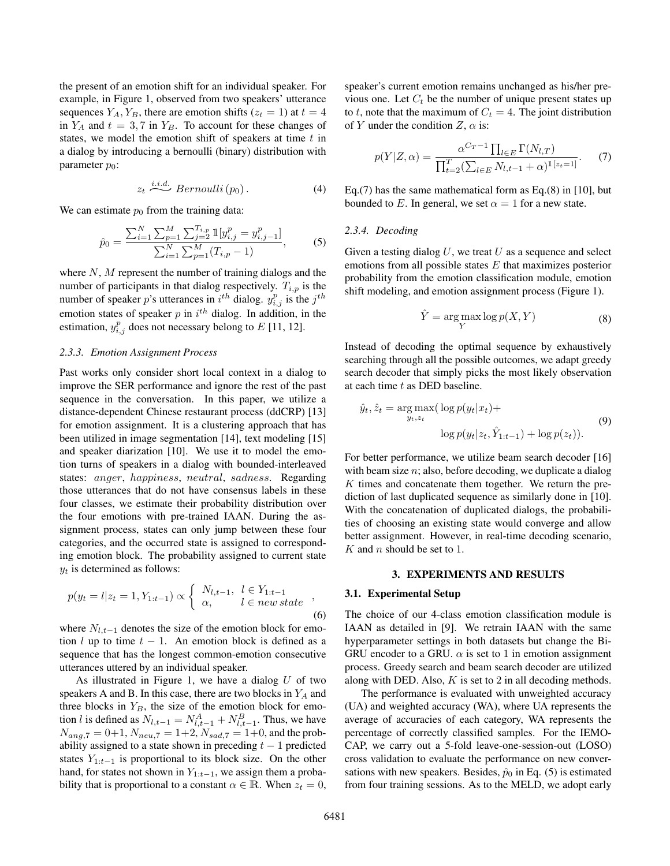the present of an emotion shift for an individual speaker. For example, in Figure 1, observed from two speakers' utterance sequences  $Y_A, Y_B$ , there are emotion shifts ( $z_t = 1$ ) at  $t = 4$ in  $Y_A$  and  $t = 3, 7$  in  $Y_B$ . To account for these changes of states, we model the emotion shift of speakers at time  $t$  in a dialog by introducing a bernoulli (binary) distribution with parameter  $p_0$ :

$$
z_t \stackrel{i.i.d.}{\sim} Bernoulli(p_0). \tag{4}
$$

We can estimate  $p_0$  from the training data:

$$
\hat{p}_0 = \frac{\sum_{i=1}^N \sum_{p=1}^M \sum_{j=2}^{T_{i,p}} \mathbb{1}[y_{i,j}^p = y_{i,j-1}^p]}{\sum_{i=1}^N \sum_{p=1}^M (T_{i,p} - 1)},\tag{5}
$$

where  $N$ ,  $M$  represent the number of training dialogs and the number of participants in that dialog respectively.  $T_{i,p}$  is the number of speaker p's utterances in  $i^{th}$  dialog.  $y_{i,j}^p$  is the  $j^{th}$ emotion states of speaker  $p$  in  $i<sup>th</sup>$  dialog. In addition, in the estimation,  $y_{i,j}^p$  does not necessary belong to E [11, 12].

#### *2.3.3. Emotion Assignment Process*

Past works only consider short local context in a dialog to improve the SER performance and ignore the rest of the past sequence in the conversation. In this paper, we utilize a distance-dependent Chinese restaurant process (ddCRP) [13] for emotion assignment. It is a clustering approach that has been utilized in image segmentation [14], text modeling [15] and speaker diarization [10]. We use it to model the emotion turns of speakers in a dialog with bounded-interleaved states: anger, happiness, neutral, sadness. Regarding those utterances that do not have consensus labels in these four classes, we estimate their probability distribution over the four emotions with pre-trained IAAN. During the assignment process, states can only jump between these four categories, and the occurred state is assigned to corresponding emotion block. The probability assigned to current state  $y_t$  is determined as follows:

$$
p(y_t = l | z_t = 1, Y_{1:t-1}) \propto \begin{cases} N_{l,t-1}, & l \in Y_{1:t-1} \\ \alpha, & l \in new \, state \end{cases},
$$
\n(6)

where  $N_{l,t-1}$  denotes the size of the emotion block for emotion l up to time  $t - 1$ . An emotion block is defined as a sequence that has the longest common-emotion consecutive utterances uttered by an individual speaker.

As illustrated in Figure 1, we have a dialog  $U$  of two speakers A and B. In this case, there are two blocks in  $Y_A$  and three blocks in  $Y_B$ , the size of the emotion block for emotion *l* is defined as  $N_{l,t-1} = N_{l,t-1}^A + N_{l,t-1}^B$ . Thus, we have  $N_{ang,7} = 0+1, N_{neu,7} = 1+2, N_{sad,7} = 1+0$ , and the probability assigned to a state shown in preceding  $t - 1$  predicted states  $Y_{1:t-1}$  is proportional to its block size. On the other hand, for states not shown in  $Y_{1:t-1}$ , we assign them a probability that is proportional to a constant  $\alpha \in \mathbb{R}$ . When  $z_t = 0$ ,

speaker's current emotion remains unchanged as his/her previous one. Let  $C_t$  be the number of unique present states up to t, note that the maximum of  $C_t = 4$ . The joint distribution of Y under the condition  $Z$ ,  $\alpha$  is:

$$
p(Y|Z,\alpha) = \frac{\alpha^{C_T-1} \prod_{l \in E} \Gamma(N_{l,T})}{\prod_{t=2}^T (\sum_{l \in E} N_{l,t-1} + \alpha)^{1[z_t=1]}}.
$$
 (7)

Eq.(7) has the same mathematical form as Eq.(8) in [10], but bounded to E. In general, we set  $\alpha = 1$  for a new state.

#### *2.3.4. Decoding*

Given a testing dialog  $U$ , we treat  $U$  as a sequence and select emotions from all possible states  $E$  that maximizes posterior probability from the emotion classification module, emotion shift modeling, and emotion assignment process (Figure 1).

$$
\hat{Y} = \underset{Y}{\text{arg}\max} \log p(X, Y) \tag{8}
$$

Instead of decoding the optimal sequence by exhaustively searching through all the possible outcomes, we adapt greedy search decoder that simply picks the most likely observation at each time t as DED baseline.

$$
\hat{y}_t, \hat{z}_t = \arg \max_{y_t, z_t} (\log p(y_t | x_t) + \log p(y_t | z_t, \hat{Y}_{1:t-1}) + \log p(z_t)).
$$
\n(9)

For better performance, we utilize beam search decoder [16] with beam size  $n$ ; also, before decoding, we duplicate a dialog K times and concatenate them together. We return the prediction of last duplicated sequence as similarly done in [10]. With the concatenation of duplicated dialogs, the probabilities of choosing an existing state would converge and allow better assignment. However, in real-time decoding scenario,  $K$  and  $n$  should be set to 1.

#### 3. EXPERIMENTS AND RESULTS

#### 3.1. Experimental Setup

The choice of our 4-class emotion classification module is IAAN as detailed in [9]. We retrain IAAN with the same hyperparameter settings in both datasets but change the Bi-GRU encoder to a GRU.  $\alpha$  is set to 1 in emotion assignment process. Greedy search and beam search decoder are utilized along with DED. Also,  $K$  is set to 2 in all decoding methods.

The performance is evaluated with unweighted accuracy (UA) and weighted accuracy (WA), where UA represents the average of accuracies of each category, WA represents the percentage of correctly classified samples. For the IEMO-CAP, we carry out a 5-fold leave-one-session-out (LOSO) cross validation to evaluate the performance on new conversations with new speakers. Besides,  $\hat{p}_0$  in Eq. (5) is estimated from four training sessions. As to the MELD, we adopt early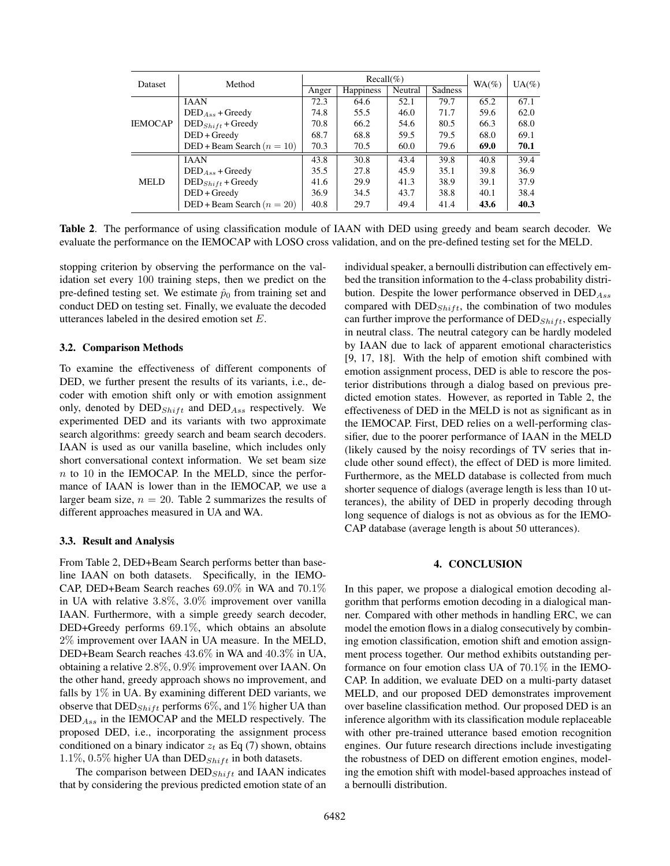| Dataset        | Method                        | $Recall(\%)$ |                  |         |                | $WA$ (%) | $UA(\%)$ |
|----------------|-------------------------------|--------------|------------------|---------|----------------|----------|----------|
|                |                               | Anger        | <b>Happiness</b> | Neutral | <b>Sadness</b> |          |          |
| <b>IEMOCAP</b> | <b>JAAN</b>                   | 72.3         | 64.6             | 52.1    | 79.7           | 65.2     | 67.1     |
|                | $DEDAss + Greedy$             | 74.8         | 55.5             | 46.0    | 71.7           | 59.6     | 62.0     |
|                | $\text{DED}_{Shift}$ + Greedy | 70.8         | 66.2             | 54.6    | 80.5           | 66.3     | 68.0     |
|                | $DED + Greedy$                | 68.7         | 68.8             | 59.5    | 79.5           | 68.0     | 69.1     |
|                | DED + Beam Search $(n = 10)$  | 70.3         | 70.5             | 60.0    | 79.6           | 69.0     | 70.1     |
| <b>MELD</b>    | <b>JAAN</b>                   | 43.8         | 30.8             | 43.4    | 39.8           | 40.8     | 39.4     |
|                | $DEDAss + Greedy$             | 35.5         | 27.8             | 45.9    | 35.1           | 39.8     | 36.9     |
|                | $\text{DED}_{Shift}$ + Greedy | 41.6         | 29.9             | 41.3    | 38.9           | 39.1     | 37.9     |
|                | $DED + Greedy$                | 36.9         | 34.5             | 43.7    | 38.8           | 40.1     | 38.4     |
|                | DED + Beam Search $(n = 20)$  | 40.8         | 29.7             | 49.4    | 41.4           | 43.6     | 40.3     |

Table 2. The performance of using classification module of IAAN with DED using greedy and beam search decoder. We evaluate the performance on the IEMOCAP with LOSO cross validation, and on the pre-defined testing set for the MELD.

stopping criterion by observing the performance on the validation set every 100 training steps, then we predict on the pre-defined testing set. We estimate  $\hat{p}_0$  from training set and conduct DED on testing set. Finally, we evaluate the decoded utterances labeled in the desired emotion set E.

# 3.2. Comparison Methods

To examine the effectiveness of different components of DED, we further present the results of its variants, i.e., decoder with emotion shift only or with emotion assignment only, denoted by  $\text{DED}_{Shift}$  and  $\text{DED}_{Ass}$  respectively. We experimented DED and its variants with two approximate search algorithms: greedy search and beam search decoders. IAAN is used as our vanilla baseline, which includes only short conversational context information. We set beam size  $n$  to 10 in the IEMOCAP. In the MELD, since the performance of IAAN is lower than in the IEMOCAP, we use a larger beam size,  $n = 20$ . Table 2 summarizes the results of different approaches measured in UA and WA.

### 3.3. Result and Analysis

From Table 2, DED+Beam Search performs better than baseline IAAN on both datasets. Specifically, in the IEMO-CAP, DED+Beam Search reaches 69.0% in WA and 70.1% in UA with relative 3.8%, 3.0% improvement over vanilla IAAN. Furthermore, with a simple greedy search decoder, DED+Greedy performs  $69.1\%$ , which obtains an absolute 2% improvement over IAAN in UA measure. In the MELD, DED+Beam Search reaches 43.6% in WA and 40.3% in UA, obtaining a relative 2.8%, 0.9% improvement over IAAN. On the other hand, greedy approach shows no improvement, and falls by 1% in UA. By examining different DED variants, we observe that  $\text{DED}_{Shift}$  performs 6%, and 1% higher UA than DEDAss in the IEMOCAP and the MELD respectively. The proposed DED, i.e., incorporating the assignment process conditioned on a binary indicator  $z_t$  as Eq (7) shown, obtains 1.1%, 0.5% higher UA than DED $_{Shift}$  in both datasets.

The comparison between  $\text{DED}_{Shift}$  and IAAN indicates that by considering the previous predicted emotion state of an individual speaker, a bernoulli distribution can effectively embed the transition information to the 4-class probability distribution. Despite the lower performance observed in  $\text{DED}_{Ass}$ compared with  $\text{DED}_{Shift}$ , the combination of two modules can further improve the performance of  $\text{DED}_{Shift}$ , especially in neutral class. The neutral category can be hardly modeled by IAAN due to lack of apparent emotional characteristics [9, 17, 18]. With the help of emotion shift combined with emotion assignment process, DED is able to rescore the posterior distributions through a dialog based on previous predicted emotion states. However, as reported in Table 2, the effectiveness of DED in the MELD is not as significant as in the IEMOCAP. First, DED relies on a well-performing classifier, due to the poorer performance of IAAN in the MELD (likely caused by the noisy recordings of TV series that include other sound effect), the effect of DED is more limited. Furthermore, as the MELD database is collected from much shorter sequence of dialogs (average length is less than 10 utterances), the ability of DED in properly decoding through long sequence of dialogs is not as obvious as for the IEMO-CAP database (average length is about 50 utterances).

# 4. CONCLUSION

In this paper, we propose a dialogical emotion decoding algorithm that performs emotion decoding in a dialogical manner. Compared with other methods in handling ERC, we can model the emotion flows in a dialog consecutively by combining emotion classification, emotion shift and emotion assignment process together. Our method exhibits outstanding performance on four emotion class UA of 70.1% in the IEMO-CAP. In addition, we evaluate DED on a multi-party dataset MELD, and our proposed DED demonstrates improvement over baseline classification method. Our proposed DED is an inference algorithm with its classification module replaceable with other pre-trained utterance based emotion recognition engines. Our future research directions include investigating the robustness of DED on different emotion engines, modeling the emotion shift with model-based approaches instead of a bernoulli distribution.